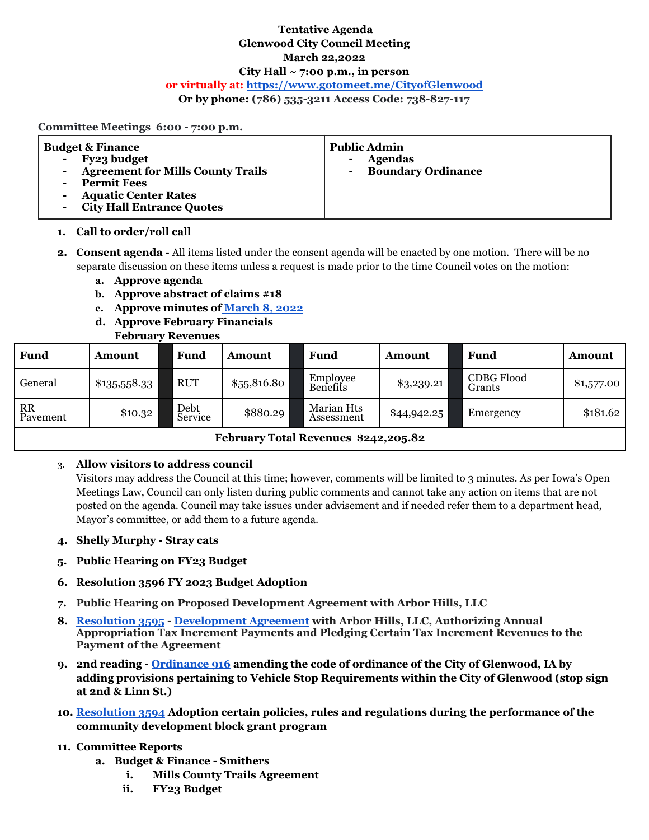## **Tentative Agenda Glenwood City Council Meeting March 22,2022 City Hall ~ 7:00 p.m., in person or virtually at: <https://www.gotomeet.me/CityofGlenwood>**

**Or by phone: (786) 535-3211 Access Code: 738-827-117**

#### **Committee Meetings 6:00 - 7:00 p.m.**

| <b>Budget &amp; Finance</b><br>Fy23 budget<br>$\sim$<br>- Agreement for Mills County Trails<br><b>Permit Fees</b><br><b>Aquatic Center Rates</b><br><b>City Hall Entrance Quotes</b> | <b>Public Admin</b><br><b>Agendas</b><br>۰<br><b>Boundary Ordinance</b> |
|--------------------------------------------------------------------------------------------------------------------------------------------------------------------------------------|-------------------------------------------------------------------------|
|--------------------------------------------------------------------------------------------------------------------------------------------------------------------------------------|-------------------------------------------------------------------------|

#### **1. Call to order/roll call**

- **2. Consent agenda -** All items listed under the consent agenda will be enacted by one motion. There will be no separate discussion on these items unless a request is made prior to the time Council votes on the motion:
	- **a. Approve agenda**
	- **b. Approve abstract of claims #18**
	- **c. Approve minutes of [March](https://drive.google.com/file/d/1csq753CUkikuhhFqRFxZWq7l2ObXVa4i/view?usp=sharing) 8, 2022**
	- **d. Approve February Financials**

### **February Revenues**

| <b>Fund</b>                          | Amount       | Fund                         | <b>Amount</b> |  | Fund                     | <b>Amount</b> | Fund                        | <b>Amount</b> |  |  |
|--------------------------------------|--------------|------------------------------|---------------|--|--------------------------|---------------|-----------------------------|---------------|--|--|
| General                              | \$135,558.33 | <b>RUT</b>                   | \$5,5816.80   |  | Employee<br>Benefits     | \$3,239.21    | <b>CDBG Flood</b><br>Grants | \$1,577.00    |  |  |
| <b>RR</b><br>Pavement                | \$10.32      | Debt <sub>.</sub><br>Service | \$880.29      |  | Marian Hts<br>Assessment | \$44,942.25   | Emergency                   | \$181.62      |  |  |
| February Total Revenues \$242,205.82 |              |                              |               |  |                          |               |                             |               |  |  |

# 3. **Allow visitors to address council**

Visitors may address the Council at this time; however, comments will be limited to 3 minutes. As per Iowa's Open Meetings Law, Council can only listen during public comments and cannot take any action on items that are not posted on the agenda. Council may take issues under advisement and if needed refer them to a department head, Mayor's committee, or add them to a future agenda.

- **4. Shelly Murphy - Stray cats**
- **5. Public Hearing on FY23 Budget**
- **6. Resolution 3596 FY 2023 Budget Adoption**
- **7. Public Hearing on Proposed Development Agreement with Arbor Hills, LLC**
- **8. [Resolution](https://drive.google.com/file/d/1acuWF1QWo9QE1xCBAqapWZD1gdFQrEXf/view?usp=sharing) 3595 - [Development](https://docs.google.com/document/d/14ovwcQ_n_xjiC98aj1fFa9aiAHrfqekX/edit?usp=sharing&ouid=100793544928925504113&rtpof=true&sd=true) Agreement with Arbor Hills, LLC, Authorizing Annual Appropriation Tax Increment Payments and Pledging Certain Tax Increment Revenues to the Payment of the Agreement**
- **9. 2nd reading - [Ordinance](https://drive.google.com/file/d/1oC2vx4a461LbFPlpyj_r5iKyun0p9Imj/view?usp=sharing) 916 amending the code of ordinance of the City of Glenwood, IA by adding provisions pertaining to Vehicle Stop Requirements within the City of Glenwood (stop sign at 2nd & Linn St.)**
- **10. [Resolution](https://docs.google.com/document/d/1eDwrItZcqWf29AjQvVLkrLzEgmNcJZPp/edit?usp=sharing&ouid=100793544928925504113&rtpof=true&sd=true) 3594 Adoption certain policies, rules and regulations during the performance of the community development block grant program**

#### **11. Committee Reports**

- **a. Budget & Finance - Smithers**
	- **i. Mills County Trails Agreement**
	- **ii. FY23 Budget**